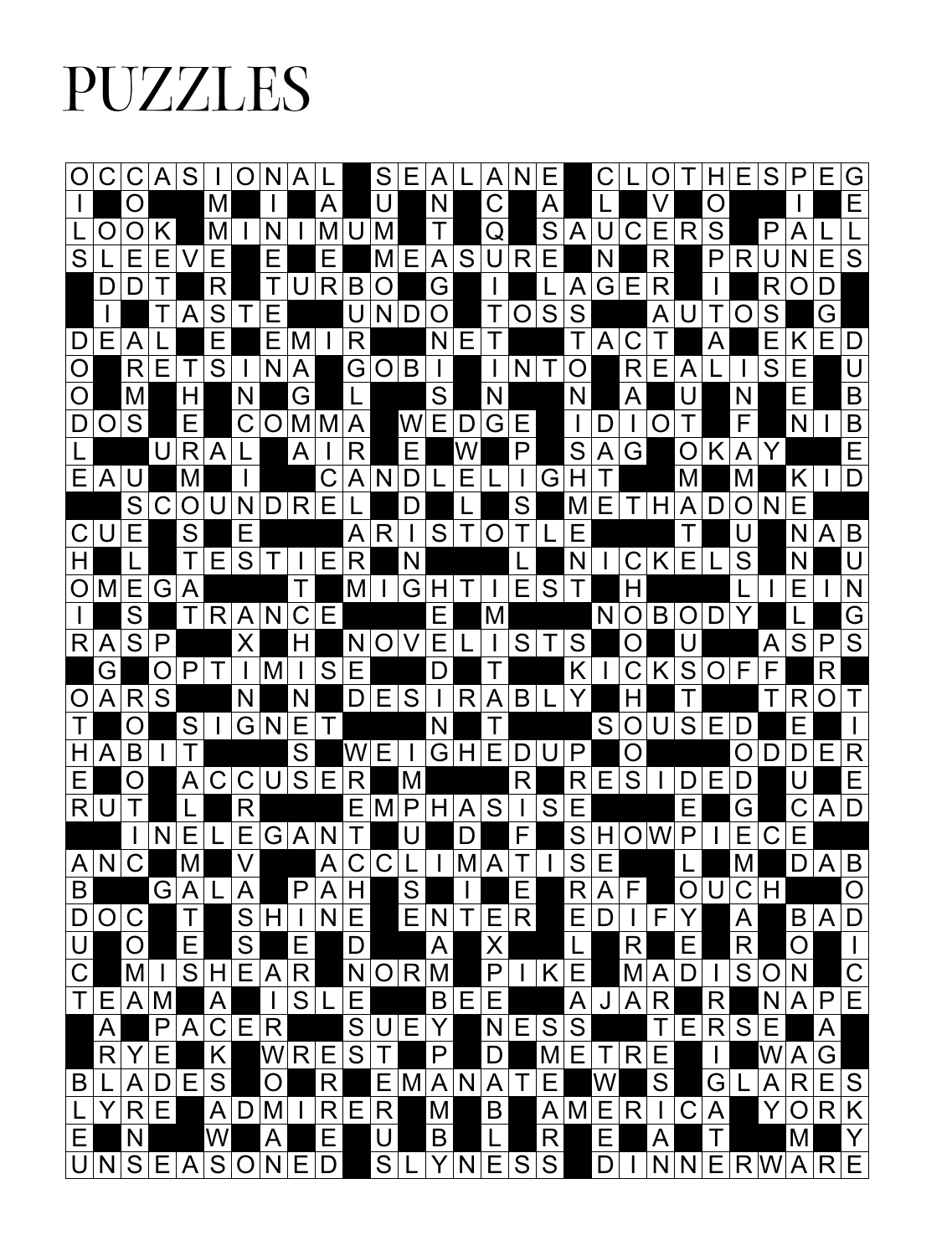## PUZZLES